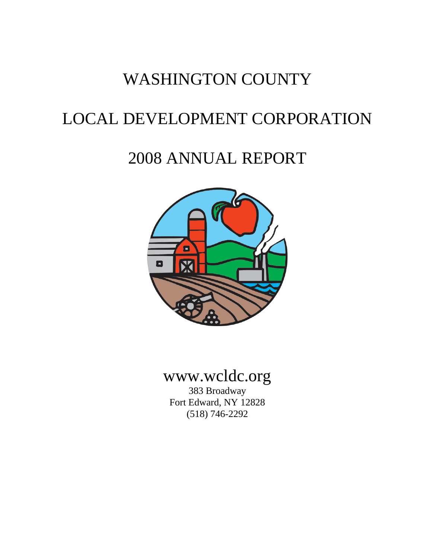# WASHINGTON COUNTY

# LOCAL DEVELOPMENT CORPORATION

# 2008 ANNUAL REPORT



# www.wcldc.org

383 Broadway Fort Edward, NY 12828 (518) 746-2292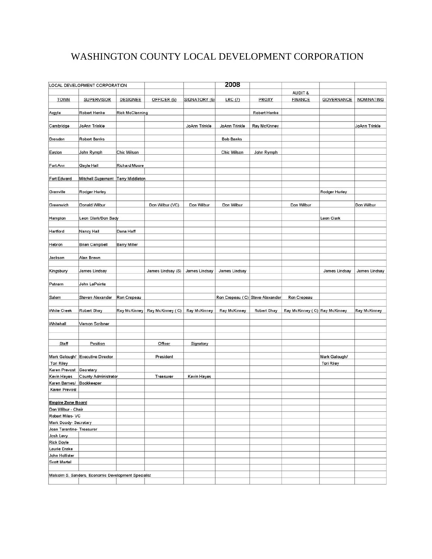# WASHINGTON COUNTY LOCAL DEVELOPMENT CORPORATION

|                           | LOCAL DEVELOPMENT CORPORATION                       |                        |                   |               | 2008                            |                     |                               |                                    |                   |
|---------------------------|-----------------------------------------------------|------------------------|-------------------|---------------|---------------------------------|---------------------|-------------------------------|------------------------------------|-------------------|
|                           |                                                     |                        |                   |               |                                 |                     | AUDIT &                       |                                    |                   |
| <b>TOWN</b>               | <b>SUPERVISOR</b>                                   | <b>DESIGNEE</b>        | OFFICER (5)       | SIGNATORY (5) | LRC(7)                          | PROXY               | <b>FINANCE</b>                | <b>GOVERNANCE</b>                  | <b>NOMINATING</b> |
| Argyle                    | Robert Henke                                        | <b>Rick McClenning</b> |                   |               |                                 | Robert Henke        |                               |                                    |                   |
| Cambridge                 | JoAnn Trinkle                                       |                        |                   | JoAnn Trinkle | JoAnn Trinkle                   | <b>Ray McKinney</b> |                               |                                    | JoAnn Trinkle     |
| Dresden                   | <b>Robert Banks</b>                                 |                        |                   |               | <b>Bob Banks</b>                |                     |                               |                                    |                   |
|                           |                                                     |                        |                   |               |                                 |                     |                               |                                    |                   |
| Easton                    | John Rymph                                          | Chic Wilson            |                   |               | Chic Wilson                     | John Rymph          |                               |                                    |                   |
| Fort Ann                  | Gayle Hall                                          | <b>Richard Moore</b>   |                   |               |                                 |                     |                               |                                    |                   |
| Fort Edward               | Mitchell Supernant Terry Middleton                  |                        |                   |               |                                 |                     |                               |                                    |                   |
| Granville                 | Rodger Hurley                                       |                        |                   |               |                                 |                     |                               | Rodger Hurley                      |                   |
| Greenwich                 | Donald Wilbur                                       |                        | Don Wilbur (VC)   | Don Wilbur    | Don Wilbur                      |                     | Don Wilbur                    |                                    | Don Wilbur        |
| Hampton                   | Leon Clark/Don Sady                                 |                        |                   |               |                                 |                     |                               | Leon Clark                         |                   |
| Hartford                  | Nancy Hall                                          | Dana Haff              |                   |               |                                 |                     |                               |                                    |                   |
|                           |                                                     |                        |                   |               |                                 |                     |                               |                                    |                   |
| Hebron                    | <b>Brian Campbell</b>                               | <b>Barry Miller</b>    |                   |               |                                 |                     |                               |                                    |                   |
| Jackson                   | Alan Brown                                          |                        |                   |               |                                 |                     |                               |                                    |                   |
| Kingsbury                 | <b>James Lindsay</b>                                |                        | James Lindsay (S) | James Lindsay | <b>James Lindsay</b>            |                     |                               | <b>James Lindsay</b>               | James Lindsay     |
| Putnam                    | John LaPointe                                       |                        |                   |               |                                 |                     |                               |                                    |                   |
| Salem                     | <b>Steven Alexander</b>                             | Ron Crepeau            |                   |               | Ron Crepeau (C) Steve Alexander |                     | Ron Crepeau                   |                                    |                   |
| <b>White Creek</b>        | Robert Shay                                         | Ray McKinney           | Ray McKinney (C)  | Ray McKinney  | Ray McKinney                    | Robert Shay         | Ray McKinney (C) Ray McKinney |                                    | Ray McKinney      |
| Whitehall                 | Vernon Scribner                                     |                        |                   |               |                                 |                     |                               |                                    |                   |
|                           |                                                     |                        |                   |               |                                 |                     |                               |                                    |                   |
|                           |                                                     |                        |                   |               |                                 |                     |                               |                                    |                   |
| <b>Staff</b>              | Position                                            |                        | Officer           | Signatory     |                                 |                     |                               |                                    |                   |
|                           |                                                     |                        | President         |               |                                 |                     |                               |                                    |                   |
| <b>Tori Riley</b>         | Mark Galough/ Executive Director                    |                        |                   |               |                                 |                     |                               | Mark Galough/<br><b>Tori Riley</b> |                   |
| Karen Prevost             | Secretary                                           |                        |                   |               |                                 |                     |                               |                                    |                   |
| Kevin Hayes               | <b>County Administrator</b>                         |                        | Treasurer         | Kevin Hayes   |                                 |                     |                               |                                    |                   |
| Karen Barnes/             | Bookkeeper                                          |                        |                   |               |                                 |                     |                               |                                    |                   |
| Karen Prevost             |                                                     |                        |                   |               |                                 |                     |                               |                                    |                   |
| <b>Empire Zone Board</b>  |                                                     |                        |                   |               |                                 |                     |                               |                                    |                   |
| Don Wilbur - Chair        |                                                     |                        |                   |               |                                 |                     |                               |                                    |                   |
| Robert Miles-VC           |                                                     |                        |                   |               |                                 |                     |                               |                                    |                   |
| Mark Doody- Secretary     |                                                     |                        |                   |               |                                 |                     |                               |                                    |                   |
| Joan Tarantino- Treasurer |                                                     |                        |                   |               |                                 |                     |                               |                                    |                   |
| Josh Levy                 |                                                     |                        |                   |               |                                 |                     |                               |                                    |                   |
| <b>Rick Doyle</b>         |                                                     |                        |                   |               |                                 |                     |                               |                                    |                   |
| Laurie Drake              |                                                     |                        |                   |               |                                 |                     |                               |                                    |                   |
| John Hollister            |                                                     |                        |                   |               |                                 |                     |                               |                                    |                   |
| Scott Martel              |                                                     |                        |                   |               |                                 |                     |                               |                                    |                   |
|                           |                                                     |                        |                   |               |                                 |                     |                               |                                    |                   |
|                           | Malcolm S. Sanders, Economic Development Specialist |                        |                   |               |                                 |                     |                               |                                    |                   |
|                           |                                                     |                        |                   |               |                                 |                     |                               |                                    |                   |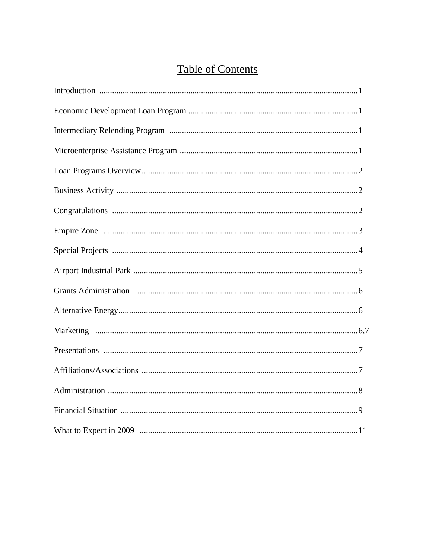# **Table of Contents**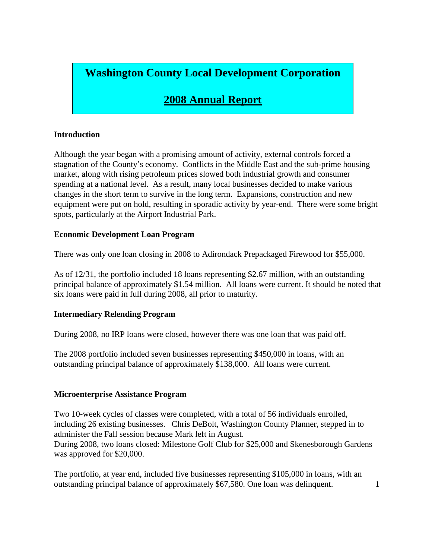# **Washington County Local Development Corporation**

# **2008 Annual Report**

# **Introduction**

Although the year began with a promising amount of activity, external controls forced a stagnation of the County's economy. Conflicts in the Middle East and the sub-prime housing market, along with rising petroleum prices slowed both industrial growth and consumer spending at a national level. As a result, many local businesses decided to make various changes in the short term to survive in the long term. Expansions, construction and new equipment were put on hold, resulting in sporadic activity by year-end. There were some bright spots, particularly at the Airport Industrial Park.

## **Economic Development Loan Program**

There was only one loan closing in 2008 to Adirondack Prepackaged Firewood for \$55,000.

As of 12/31, the portfolio included 18 loans representing \$2.67 million, with an outstanding principal balance of approximately \$1.54 million. All loans were current. It should be noted that six loans were paid in full during 2008, all prior to maturity.

# **Intermediary Relending Program**

During 2008, no IRP loans were closed, however there was one loan that was paid off.

The 2008 portfolio included seven businesses representing \$450,000 in loans, with an outstanding principal balance of approximately \$138,000. All loans were current.

# **Microenterprise Assistance Program**

Two 10-week cycles of classes were completed, with a total of 56 individuals enrolled, including 26 existing businesses. Chris DeBolt, Washington County Planner, stepped in to administer the Fall session because Mark left in August. During 2008, two loans closed: Milestone Golf Club for \$25,000 and Skenesborough Gardens was approved for \$20,000.

The portfolio, at year end, included five businesses representing \$105,000 in loans, with an outstanding principal balance of approximately \$67,580. One loan was delinquent. 1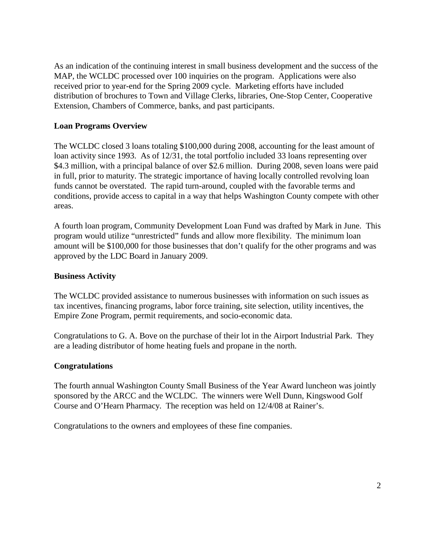As an indication of the continuing interest in small business development and the success of the MAP, the WCLDC processed over 100 inquiries on the program. Applications were also received prior to year-end for the Spring 2009 cycle. Marketing efforts have included distribution of brochures to Town and Village Clerks, libraries, One-Stop Center, Cooperative Extension, Chambers of Commerce, banks, and past participants.

# **Loan Programs Overview**

The WCLDC closed 3 loans totaling \$100,000 during 2008, accounting for the least amount of loan activity since 1993. As of 12/31, the total portfolio included 33 loans representing over \$4.3 million, with a principal balance of over \$2.6 million. During 2008, seven loans were paid in full, prior to maturity. The strategic importance of having locally controlled revolving loan funds cannot be overstated. The rapid turn-around, coupled with the favorable terms and conditions, provide access to capital in a way that helps Washington County compete with other areas.

A fourth loan program, Community Development Loan Fund was drafted by Mark in June. This program would utilize "unrestricted" funds and allow more flexibility. The minimum loan amount will be \$100,000 for those businesses that don't qualify for the other programs and was approved by the LDC Board in January 2009.

#### **Business Activity**

The WCLDC provided assistance to numerous businesses with information on such issues as tax incentives, financing programs, labor force training, site selection, utility incentives, the Empire Zone Program, permit requirements, and socio-economic data.

Congratulations to G. A. Bove on the purchase of their lot in the Airport Industrial Park. They are a leading distributor of home heating fuels and propane in the north.

#### **Congratulations**

The fourth annual Washington County Small Business of the Year Award luncheon was jointly sponsored by the ARCC and the WCLDC. The winners were Well Dunn, Kingswood Golf Course and O'Hearn Pharmacy. The reception was held on 12/4/08 at Rainer's.

Congratulations to the owners and employees of these fine companies.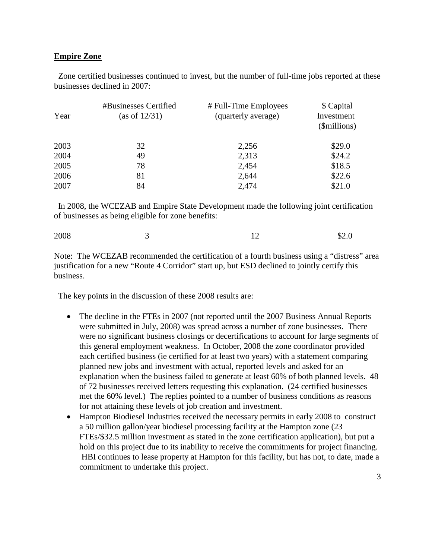#### **Empire Zone**

 Zone certified businesses continued to invest, but the number of full-time jobs reported at these businesses declined in 2007:

| Year | #Businesses Certified<br>(as of 12/31) | # Full-Time Employees<br>(quarterly average) | \$ Capital<br>Investment<br>(\$millions) |
|------|----------------------------------------|----------------------------------------------|------------------------------------------|
| 2003 | 32                                     | 2,256                                        | \$29.0                                   |
| 2004 | 49                                     | 2,313                                        | \$24.2                                   |
| 2005 | 78                                     | 2,454                                        | \$18.5                                   |
| 2006 | 81                                     | 2,644                                        | \$22.6                                   |
| 2007 | 84                                     | 2,474                                        | \$21.0                                   |

 In 2008, the WCEZAB and Empire State Development made the following joint certification of businesses as being eligible for zone benefits:

Note: The WCEZAB recommended the certification of a fourth business using a "distress" area justification for a new "Route 4 Corridor" start up, but ESD declined to jointly certify this business.

The key points in the discussion of these 2008 results are:

- The decline in the FTEs in 2007 (not reported until the 2007 Business Annual Reports were submitted in July, 2008) was spread across a number of zone businesses. There were no significant business closings or decertifications to account for large segments of this general employment weakness. In October, 2008 the zone coordinator provided each certified business (ie certified for at least two years) with a statement comparing planned new jobs and investment with actual, reported levels and asked for an explanation when the business failed to generate at least 60% of both planned levels. 48 of 72 businesses received letters requesting this explanation. (24 certified businesses met the 60% level.) The replies pointed to a number of business conditions as reasons for not attaining these levels of job creation and investment.
- Hampton Biodiesel Industries received the necessary permits in early 2008 to construct a 50 million gallon/year biodiesel processing facility at the Hampton zone (23 FTEs/\$32.5 million investment as stated in the zone certification application), but put a hold on this project due to its inability to receive the commitments for project financing. HBI continues to lease property at Hampton for this facility, but has not, to date, made a commitment to undertake this project.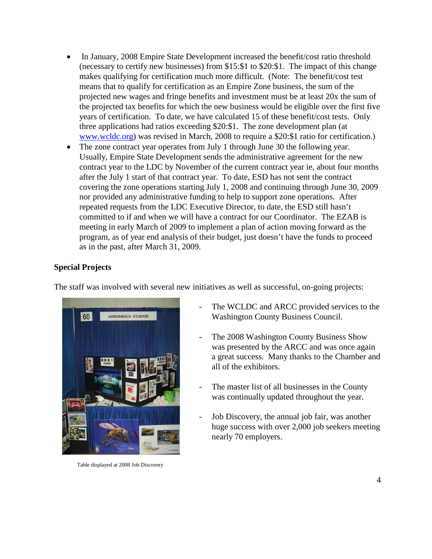- In January, 2008 Empire State Development increased the benefit/cost ratio threshold (necessary to certify new businesses) from \$15:\$1 to \$20:\$1. The impact of this change makes qualifying for certification much more difficult. (Note: The benefit/cost test means that to qualify for certification as an Empire Zone business, the sum of the projected new wages and fringe benefits and investment must be at least 20x the sum of the projected tax benefits for which the new business would be eligible over the first five years of certification. To date, we have calculated 15 of these benefit/cost tests. Only three applications had ratios exceeding \$20:\$1. The zone development plan (at [www.wcldc.org\)](http://www.wcldc.org/) was revised in March, 2008 to require a \$20:\$1 ratio for certification.)
- The zone contract year operates from July 1 through June 30 the following year. Usually, Empire State Development sends the administrative agreement for the new contract year to the LDC by November of the current contract year ie, about four months after the July 1 start of that contract year. To date, ESD has not sent the contract covering the zone operations starting July 1, 2008 and continuing through June 30, 2009 nor provided any administrative funding to help to support zone operations. After repeated requests from the LDC Executive Director, to date, the ESD still hasn't committed to if and when we will have a contract for our Coordinator. The EZAB is meeting in early March of 2009 to implement a plan of action moving forward as the program, as of year end analysis of their budget, just doesn't have the funds to proceed as in the past, after March 31, 2009.

#### **Special Projects**

The staff was involved with several new initiatives as well as successful, on-going projects:



Table displayed at 2008 Job Discovery

- The WCLDC and ARCC provided services to the Washington County Business Council.
- The 2008 Washington County Business Show was presented by the ARCC and was once again a great success. Many thanks to the Chamber and all of the exhibitors.
- The master list of all businesses in the County was continually updated throughout the year.
- Job Discovery, the annual job fair, was another huge success with over 2,000 job seekers meeting nearly 70 employers.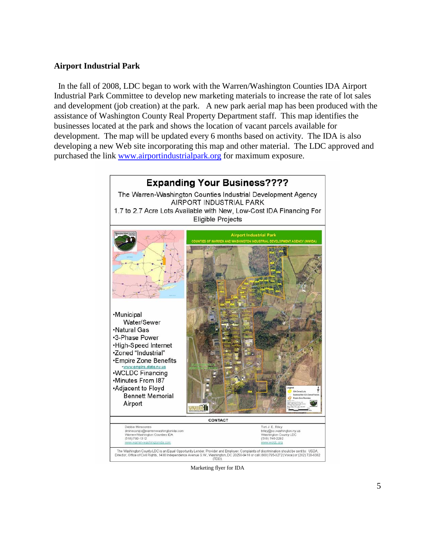#### **Airport Industrial Park**

 In the fall of 2008, LDC began to work with the Warren/Washington Counties IDA Airport Industrial Park Committee to develop new marketing materials to increase the rate of lot sales and development (job creation) at the park. A new park aerial map has been produced with the assistance of Washington County Real Property Department staff. This map identifies the businesses located at the park and shows the location of vacant parcels available for development. The map will be updated every 6 months based on activity. The IDA is also developing a new Web site incorporating this map and other material. The LDC approved and purchased the link [www.airportindustrialpark.org](http://www.airportindustrialpark.org/) for maximum exposure.



Marketing flyer for IDA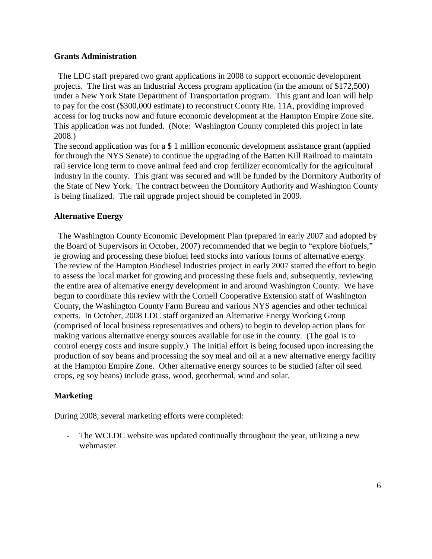#### **Grants Administration**

 The LDC staff prepared two grant applications in 2008 to support economic development projects. The first was an Industrial Access program application (in the amount of \$172,500) under a New York State Department of Transportation program. This grant and loan will help to pay for the cost (\$300,000 estimate) to reconstruct County Rte. 11A, providing improved access for log trucks now and future economic development at the Hampton Empire Zone site. This application was not funded. (Note: Washington County completed this project in late 2008.)

The second application was for a \$ 1 million economic development assistance grant (applied for through the NYS Senate) to continue the upgrading of the Batten Kill Railroad to maintain rail service long term to move animal feed and crop fertilizer economically for the agricultural industry in the county. This grant was secured and will be funded by the Dormitory Authority of the State of New York. The contract between the Dormitory Authority and Washington County is being finalized. The rail upgrade project should be completed in 2009.

# **Alternative Energy**

 The Washington County Economic Development Plan (prepared in early 2007 and adopted by the Board of Supervisors in October, 2007) recommended that we begin to "explore biofuels," ie growing and processing these biofuel feed stocks into various forms of alternative energy. The review of the Hampton Biodiesel Industries project in early 2007 started the effort to begin to assess the local market for growing and processing these fuels and, subsequently, reviewing the entire area of alternative energy development in and around Washington County. We have begun to coordinate this review with the Cornell Cooperative Extension staff of Washington County, the Washington County Farm Bureau and various NYS agencies and other technical experts. In October, 2008 LDC staff organized an Alternative Energy Working Group (comprised of local business representatives and others) to begin to develop action plans for making various alternative energy sources available for use in the county. (The goal is to control energy costs and insure supply.) The initial effort is being focused upon increasing the production of soy beans and processing the soy meal and oil at a new alternative energy facility at the Hampton Empire Zone. Other alternative energy sources to be studied (after oil seed crops, eg soy beans) include grass, wood, geothermal, wind and solar.

# **Marketing**

During 2008, several marketing efforts were completed:

- The WCLDC website was updated continually throughout the year, utilizing a new webmaster.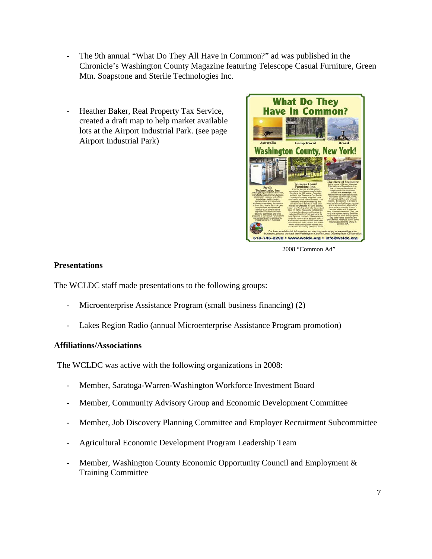- The 9th annual "What Do They All Have in Common?" ad was published in the Chronicle's Washington County Magazine featuring Telescope Casual Furniture, Green Mtn. Soapstone and Sterile Technologies Inc.
- Heather Baker, Real Property Tax Service, created a draft map to help market available lots at the Airport Industrial Park. (see page Airport Industrial Park)



2008 "Common Ad"

#### **Presentations**

The WCLDC staff made presentations to the following groups:

- Microenterprise Assistance Program (small business financing) (2)
- Lakes Region Radio (annual Microenterprise Assistance Program promotion)

#### **Affiliations/Associations**

The WCLDC was active with the following organizations in 2008:

- Member, Saratoga-Warren-Washington Workforce Investment Board
- Member, Community Advisory Group and Economic Development Committee
- Member, Job Discovery Planning Committee and Employer Recruitment Subcommittee
- Agricultural Economic Development Program Leadership Team
- Member, Washington County Economic Opportunity Council and Employment & Training Committee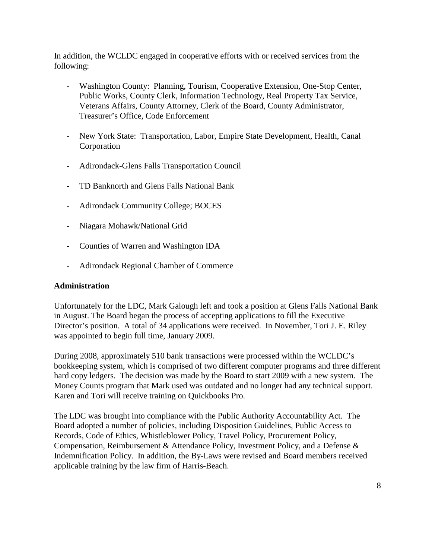In addition, the WCLDC engaged in cooperative efforts with or received services from the following:

- Washington County: Planning, Tourism, Cooperative Extension, One-Stop Center, Public Works, County Clerk, Information Technology, Real Property Tax Service, Veterans Affairs, County Attorney, Clerk of the Board, County Administrator, Treasurer's Office, Code Enforcement
- New York State: Transportation, Labor, Empire State Development, Health, Canal Corporation
- Adirondack-Glens Falls Transportation Council
- TD Banknorth and Glens Falls National Bank
- Adirondack Community College; BOCES
- Niagara Mohawk/National Grid
- Counties of Warren and Washington IDA
- Adirondack Regional Chamber of Commerce

# **Administration**

Unfortunately for the LDC, Mark Galough left and took a position at Glens Falls National Bank in August. The Board began the process of accepting applications to fill the Executive Director's position. A total of 34 applications were received. In November, Tori J. E. Riley was appointed to begin full time, January 2009.

During 2008, approximately 510 bank transactions were processed within the WCLDC's bookkeeping system, which is comprised of two different computer programs and three different hard copy ledgers. The decision was made by the Board to start 2009 with a new system. The Money Counts program that Mark used was outdated and no longer had any technical support. Karen and Tori will receive training on Quickbooks Pro.

The LDC was brought into compliance with the Public Authority Accountability Act. The Board adopted a number of policies, including Disposition Guidelines, Public Access to Records, Code of Ethics, Whistleblower Policy, Travel Policy, Procurement Policy, Compensation, Reimbursement & Attendance Policy, Investment Policy, and a Defense & Indemnification Policy. In addition, the By-Laws were revised and Board members received applicable training by the law firm of Harris-Beach.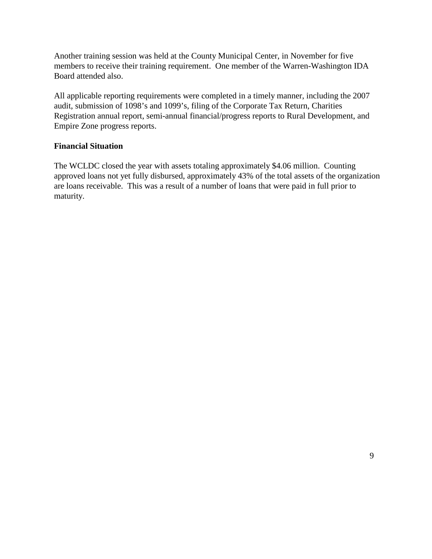Another training session was held at the County Municipal Center, in November for five members to receive their training requirement. One member of the Warren-Washington IDA Board attended also.

All applicable reporting requirements were completed in a timely manner, including the 2007 audit, submission of 1098's and 1099's, filing of the Corporate Tax Return, Charities Registration annual report, semi-annual financial/progress reports to Rural Development, and Empire Zone progress reports.

## **Financial Situation**

The WCLDC closed the year with assets totaling approximately \$4.06 million. Counting approved loans not yet fully disbursed, approximately 43% of the total assets of the organization are loans receivable. This was a result of a number of loans that were paid in full prior to maturity.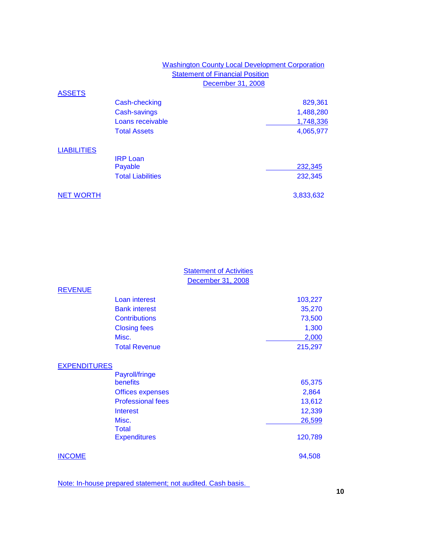## Washington County Local Development Corporation **Statement of Financial Position** December 31, 2008

## **ASSETS**

|                    | Cash-checking            | 829,361   |
|--------------------|--------------------------|-----------|
|                    | <b>Cash-savings</b>      | 1,488,280 |
|                    | Loans receivable         | 1,748,336 |
|                    | <b>Total Assets</b>      | 4,065,977 |
| <b>LIABILITIES</b> |                          |           |
|                    | <b>IRP Loan</b>          |           |
|                    | Payable                  | 232,345   |
|                    | <b>Total Liabilities</b> | 232,345   |
| <b>NET WORTH</b>   |                          | 3,833,632 |

|                     |                          | <b>Statement of Activities</b><br>December 31, 2008 |         |
|---------------------|--------------------------|-----------------------------------------------------|---------|
| <b>REVENUE</b>      |                          |                                                     |         |
|                     | Loan interest            |                                                     | 103,227 |
|                     | <b>Bank interest</b>     |                                                     | 35,270  |
|                     | <b>Contributions</b>     |                                                     | 73,500  |
|                     | <b>Closing fees</b>      |                                                     | 1,300   |
|                     | Misc.                    |                                                     | 2,000   |
|                     | <b>Total Revenue</b>     |                                                     | 215,297 |
| <b>EXPENDITURES</b> |                          |                                                     |         |
|                     | Payroll/fringe           |                                                     |         |
|                     | benefits                 |                                                     | 65,375  |
|                     | <b>Offices expenses</b>  |                                                     | 2,864   |
|                     | <b>Professional fees</b> |                                                     | 13,612  |
|                     | <b>Interest</b>          |                                                     | 12,339  |
|                     | Misc.                    |                                                     | 26,599  |
|                     | <b>Total</b>             |                                                     |         |
|                     | <b>Expenditures</b>      |                                                     | 120,789 |
| <b>INCOME</b>       |                          |                                                     | 94,508  |

Note: In-house prepared statement; not audited. Cash basis.